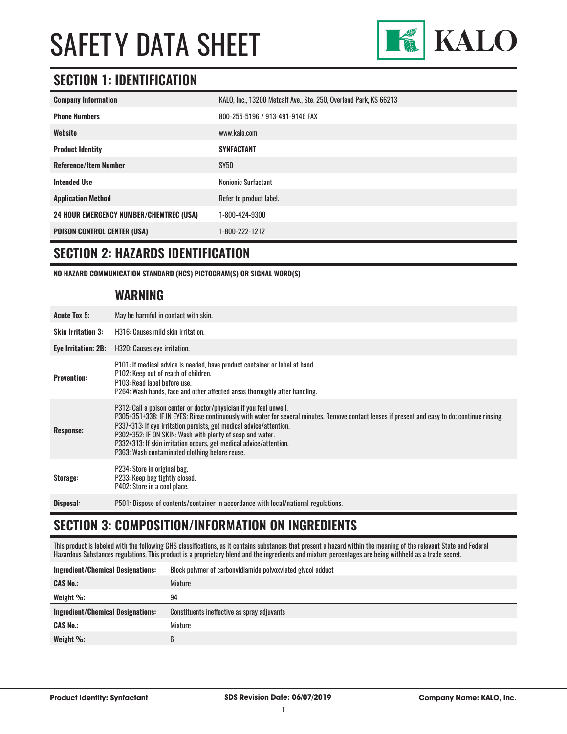

### **SECTION 1: IDENTIFICATION**

| <b>Company Information</b>                     | KALO, Inc., 13200 Metcalf Ave., Ste. 250, Overland Park, KS 66213 |
|------------------------------------------------|-------------------------------------------------------------------|
| <b>Phone Numbers</b>                           | 800-255-5196 / 913-491-9146 FAX                                   |
| Website                                        | www.kalo.com                                                      |
| <b>Product Identity</b>                        | <b>SYNFACTANT</b>                                                 |
| <b>Reference/Item Number</b>                   | SY50                                                              |
| <b>Intended Use</b>                            | <b>Nonionic Surfactant</b>                                        |
| <b>Application Method</b>                      | Refer to product label.                                           |
| <b>24 HOUR EMERGENCY NUMBER/CHEMTREC (USA)</b> | 1-800-424-9300                                                    |
| <b>POISON CONTROL CENTER (USA)</b>             | 1-800-222-1212                                                    |

#### **SECTION 2: HAZARDS IDENTIFICATION**

**NO HAZARD COMMUNICATION STANDARD (HCS) PICTOGRAM(S) OR SIGNAL WORD(S)**

#### **WARNING**

| <b>Acute Tox 5:</b>       | May be harmful in contact with skin.                                                                                                                                                                                                                                                                                                                                                                                                                                              |
|---------------------------|-----------------------------------------------------------------------------------------------------------------------------------------------------------------------------------------------------------------------------------------------------------------------------------------------------------------------------------------------------------------------------------------------------------------------------------------------------------------------------------|
| <b>Skin Irritation 3:</b> | H316: Causes mild skin irritation.                                                                                                                                                                                                                                                                                                                                                                                                                                                |
| Eye Irritation: 2B:       | H320: Causes eye irritation.                                                                                                                                                                                                                                                                                                                                                                                                                                                      |
| <b>Prevention:</b>        | P101: If medical advice is needed, have product container or label at hand.<br>P102: Keep out of reach of children.<br>P103: Read label before use.<br>P264: Wash hands, face and other affected areas thoroughly after handling.                                                                                                                                                                                                                                                 |
| <b>Response:</b>          | P312: Call a poison center or doctor/physician if you feel unwell.<br>P305+351+338: IF IN EYES: Rinse continuously with water for several minutes. Remove contact lenses if present and easy to do; continue rinsing.<br>P337+313: If eye irritation persists, get medical advice/attention.<br>P302+352: IF ON SKIN: Wash with plenty of soap and water.<br>P332+313: If skin irritation occurs, get medical advice/attention.<br>P363: Wash contaminated clothing before reuse. |
| Storage:                  | P234: Store in original bag.<br>P233: Keep bag tightly closed.<br>P402: Store in a cool place.                                                                                                                                                                                                                                                                                                                                                                                    |
| Disposal:                 | P501: Dispose of contents/container in accordance with local/national regulations.                                                                                                                                                                                                                                                                                                                                                                                                |

# **SECTION 3: COMPOSITION/INFORMATION ON INGREDIENTS**

This product is labeled with the following GHS classifications, as it contains substances that present a hazard within the meaning of the relevant State and Federal Hazardous Substances regulations. This product is a proprietary blend and the ingredients and mixture percentages are being withheld as a trade secret.

| <b>Ingredient/Chemical Designations:</b> | Block polymer of carbonyldiamide polyoxylated glycol adduct |
|------------------------------------------|-------------------------------------------------------------|
| <b>CAS No.:</b>                          | Mixture                                                     |
| Weight $\%$ :                            | 94                                                          |
|                                          |                                                             |
| <b>Ingredient/Chemical Designations:</b> | Constituents ineffective as spray adjuvants                 |
| <b>CAS No.:</b>                          | Mixture                                                     |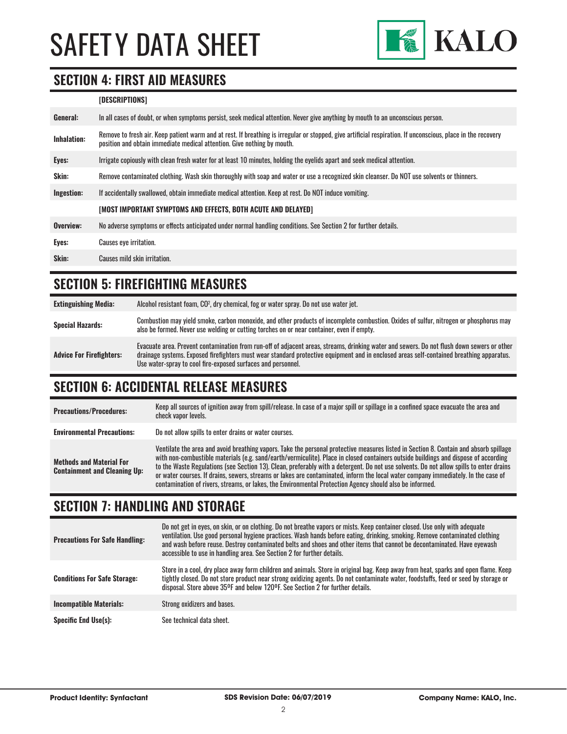

#### **SECTION 4: FIRST AID MEASURES**

#### **[DESCRIPTIONS]**

| General:    | In all cases of doubt, or when symptoms persist, seek medical attention. Never give anything by mouth to an unconscious person.                                                                                                         |
|-------------|-----------------------------------------------------------------------------------------------------------------------------------------------------------------------------------------------------------------------------------------|
| Inhalation: | Remove to fresh air. Keep patient warm and at rest. If breathing is irregular or stopped, give artificial respiration. If unconscious, place in the recovery<br>position and obtain immediate medical attention. Give nothing by mouth. |
| Eyes:       | Irrigate copiously with clean fresh water for at least 10 minutes, holding the eyelids apart and seek medical attention.                                                                                                                |
| Skin:       | Remove contaminated clothing. Wash skin thoroughly with soap and water or use a recognized skin cleanser. Do NOT use solvents or thinners.                                                                                              |
| Ingestion:  | If accidentally swallowed, obtain immediate medical attention. Keep at rest. Do NOT induce vomiting.                                                                                                                                    |
|             | [MOST IMPORTANT SYMPTOMS AND EFFECTS, BOTH ACUTE AND DELAYED]                                                                                                                                                                           |
| Overview:   | No adverse symptoms or effects anticipated under normal handling conditions. See Section 2 for further details.                                                                                                                         |
| Eyes:       | <b>Causes eve irritation.</b>                                                                                                                                                                                                           |
| Skin:       | Causes mild skin irritation.                                                                                                                                                                                                            |
|             |                                                                                                                                                                                                                                         |

### **SECTION 5: FIREFIGHTING MEASURES**

| <b>Extinguishing Media:</b>     | Alcohol resistant foam, CO <sup>2</sup> , dry chemical, fog or water spray. Do not use water jet.                                                                                                                                                                                                                                                      |
|---------------------------------|--------------------------------------------------------------------------------------------------------------------------------------------------------------------------------------------------------------------------------------------------------------------------------------------------------------------------------------------------------|
| <b>Special Hazards:</b>         | Combustion may yield smoke, carbon monoxide, and other products of incomplete combustion. Oxides of sulfur, nitrogen or phosphorus may<br>also be formed. Never use welding or cutting torches on or near container, even if empty.                                                                                                                    |
| <b>Advice For Firefighters:</b> | Evacuate area. Prevent contamination from run-off of adjacent areas, streams, drinking water and sewers. Do not flush down sewers or other<br>drainage systems. Exposed firefighters must wear standard protective equipment and in enclosed areas self-contained breathing apparatus.<br>Use water-spray to cool fire-exposed surfaces and personnel. |

#### **SECTION 6: ACCIDENTAL RELEASE MEASURES**

| <b>Precautions/Procedures:</b>                                         | Keep all sources of ignition away from spill/release. In case of a major spill or spillage in a confined space evacuate the area and<br>check vapor levels.                                                                                                                                                                                                                                                                                                                                                                                                                                                                                                               |
|------------------------------------------------------------------------|---------------------------------------------------------------------------------------------------------------------------------------------------------------------------------------------------------------------------------------------------------------------------------------------------------------------------------------------------------------------------------------------------------------------------------------------------------------------------------------------------------------------------------------------------------------------------------------------------------------------------------------------------------------------------|
| <b>Environmental Precautions:</b>                                      | Do not allow spills to enter drains or water courses.                                                                                                                                                                                                                                                                                                                                                                                                                                                                                                                                                                                                                     |
| <b>Methods and Material For</b><br><b>Containment and Cleaning Up:</b> | Ventilate the area and avoid breathing vapors. Take the personal protective measures listed in Section 8. Contain and absorb spillage<br>with non-combustible materials (e.g. sand/earth/vermiculite). Place in closed containers outside buildings and dispose of according<br>to the Waste Regulations (see Section 13). Clean, preferably with a detergent. Do not use solvents. Do not allow spills to enter drains<br>or water courses. If drains, sewers, streams or lakes are contaminated, inform the local water company immediately. In the case of<br>contamination of rivers, streams, or lakes, the Environmental Protection Agency should also be informed. |

### **SECTION 7: HANDLING AND STORAGE**

| <b>Precautions For Safe Handling:</b> | Do not get in eyes, on skin, or on clothing. Do not breathe vapors or mists. Keep container closed. Use only with adequate<br>ventilation. Use good personal hygiene practices. Wash hands before eating, drinking, smoking. Remove contaminated clothing<br>and wash before reuse. Destroy contaminated belts and shoes and other items that cannot be decontaminated. Have eyewash<br>accessible to use in handling area. See Section 2 for further details. |
|---------------------------------------|----------------------------------------------------------------------------------------------------------------------------------------------------------------------------------------------------------------------------------------------------------------------------------------------------------------------------------------------------------------------------------------------------------------------------------------------------------------|
| <b>Conditions For Safe Storage:</b>   | Store in a cool, dry place away form children and animals. Store in original bag. Keep away from heat, sparks and open flame. Keep<br>tightly closed. Do not store product near strong oxidizing agents. Do not contaminate water, foodstuffs, feed or seed by storage or<br>disposal. Store above 35°F and below 120°F. See Section 2 for further details.                                                                                                    |
| <b>Incompatible Materials:</b>        | Strong oxidizers and bases.                                                                                                                                                                                                                                                                                                                                                                                                                                    |
| <b>Specific End Use(s):</b>           | See technical data sheet.                                                                                                                                                                                                                                                                                                                                                                                                                                      |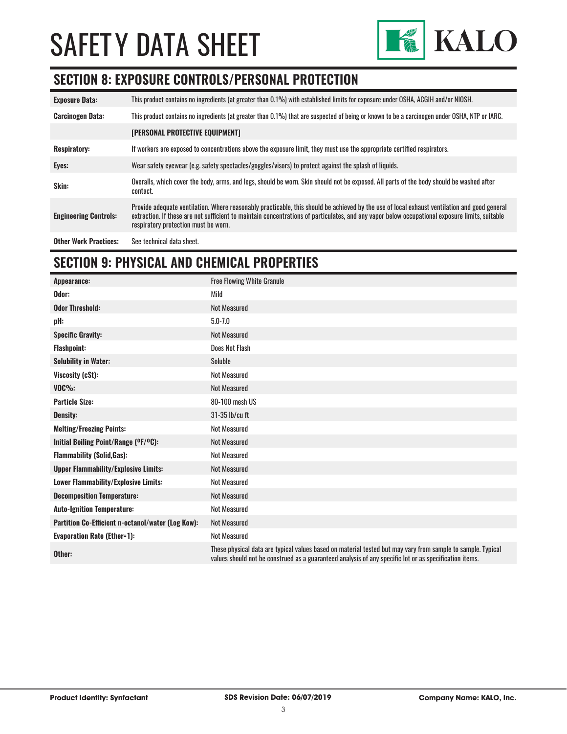

# **SECTION 8: EXPOSURE CONTROLS/PERSONAL PROTECTION**

| <b>Exposure Data:</b>        | This product contains no ingredients (at greater than 0.1%) with established limits for exposure under OSHA, ACGIH and/or NIOSH.                                                                                                                                                                                                       |
|------------------------------|----------------------------------------------------------------------------------------------------------------------------------------------------------------------------------------------------------------------------------------------------------------------------------------------------------------------------------------|
| <b>Carcinogen Data:</b>      | This product contains no ingredients (at greater than 0.1%) that are suspected of being or known to be a carcinogen under OSHA, NTP or IARC.                                                                                                                                                                                           |
|                              | <b>[PERSONAL PROTECTIVE EQUIPMENT]</b>                                                                                                                                                                                                                                                                                                 |
| <b>Respiratory:</b>          | If workers are exposed to concentrations above the exposure limit, they must use the appropriate certified respirators.                                                                                                                                                                                                                |
| Eyes:                        | Wear safety eyewear (e.g. safety spectacles/goggles/visors) to protect against the splash of liquids.                                                                                                                                                                                                                                  |
| Skin:                        | Overalls, which cover the body, arms, and legs, should be worn. Skin should not be exposed. All parts of the body should be washed after<br>contact.                                                                                                                                                                                   |
| <b>Engineering Controls:</b> | Provide adequate ventilation. Where reasonably practicable, this should be achieved by the use of local exhaust ventilation and good general<br>extraction. If these are not sufficient to maintain concentrations of particulates, and any vapor below occupational exposure limits, suitable<br>respiratory protection must be worn. |
| <b>Other Work Practices:</b> | See technical data sheet.                                                                                                                                                                                                                                                                                                              |

# **SECTION 9: PHYSICAL AND CHEMICAL PROPERTIES**

| Appearance:                                       | <b>Free Flowing White Granule</b>                                                                                                                                                                                     |
|---------------------------------------------------|-----------------------------------------------------------------------------------------------------------------------------------------------------------------------------------------------------------------------|
| Odor:                                             | Mild                                                                                                                                                                                                                  |
| <b>Odor Threshold:</b>                            | <b>Not Measured</b>                                                                                                                                                                                                   |
| pH:                                               | $5.0 - 7.0$                                                                                                                                                                                                           |
| <b>Specific Gravity:</b>                          | <b>Not Measured</b>                                                                                                                                                                                                   |
| <b>Flashpoint:</b>                                | Does Not Flash                                                                                                                                                                                                        |
| <b>Solubility in Water:</b>                       | Soluble                                                                                                                                                                                                               |
| Viscosity (cSt):                                  | <b>Not Measured</b>                                                                                                                                                                                                   |
| $VOC\%$ :                                         | <b>Not Measured</b>                                                                                                                                                                                                   |
| <b>Particle Size:</b>                             | 80-100 mesh US                                                                                                                                                                                                        |
| <b>Density:</b>                                   | 31-35 lb/cu ft                                                                                                                                                                                                        |
| <b>Melting/Freezing Points:</b>                   | <b>Not Measured</b>                                                                                                                                                                                                   |
| Initial Boiling Point/Range (OF/OC):              | <b>Not Measured</b>                                                                                                                                                                                                   |
| <b>Flammability (Solid, Gas):</b>                 | <b>Not Measured</b>                                                                                                                                                                                                   |
| <b>Upper Flammability/Explosive Limits:</b>       | <b>Not Measured</b>                                                                                                                                                                                                   |
| <b>Lower Flammability/Explosive Limits:</b>       | <b>Not Measured</b>                                                                                                                                                                                                   |
| <b>Decomposition Temperature:</b>                 | <b>Not Measured</b>                                                                                                                                                                                                   |
| <b>Auto-Ignition Temperature:</b>                 | <b>Not Measured</b>                                                                                                                                                                                                   |
| Partition Co-Efficient n-octanol/water (Log Kow): | <b>Not Measured</b>                                                                                                                                                                                                   |
| <b>Evaporation Rate (Ether=1):</b>                | <b>Not Measured</b>                                                                                                                                                                                                   |
| Other:                                            | These physical data are typical values based on material tested but may vary from sample to sample. Typical<br>values should not be construed as a guaranteed analysis of any specific lot or as specification items. |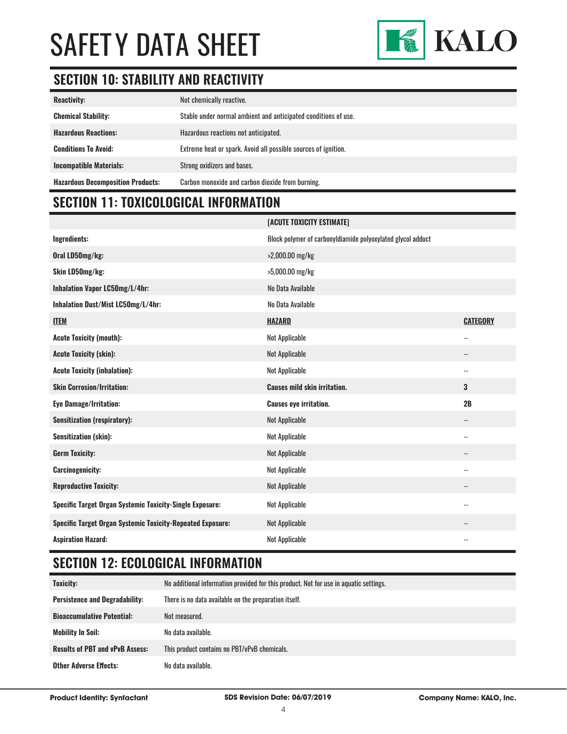

# **SECTION 10: STABILITY AND REACTIVITY**

| <b>Reactivity:</b>                       | Not chemically reactive.                                       |
|------------------------------------------|----------------------------------------------------------------|
| <b>Chemical Stability:</b>               | Stable under normal ambient and anticipated conditions of use. |
| <b>Hazardous Reactions:</b>              | Hazardous reactions not anticipated.                           |
| <b>Conditions To Avoid:</b>              | Extreme heat or spark. Avoid all possible sources of ignition. |
| <b>Incompatible Materials:</b>           | Strong oxidizers and bases.                                    |
| <b>Hazardous Decomposition Products:</b> | Carbon monoxide and carbon dioxide from burning.               |

# **SECTION 11: TOXICOLOGICAL INFORMATION**

|                                                                 | [ACUTE TOXICITY ESTIMATE]                                   |                            |
|-----------------------------------------------------------------|-------------------------------------------------------------|----------------------------|
| Ingredients:                                                    | Block polymer of carbonyldiamide polyoxylated glycol adduct |                            |
| Oral LD50mg/kg:                                                 | >2,000.00 mg/kg                                             |                            |
| Skin LD50mg/kg:                                                 | >5,000.00 mg/kg                                             |                            |
| Inhalation Vapor LC50mg/L/4hr:                                  | No Data Available                                           |                            |
| Inhalation Dust/Mist LC50mg/L/4hr:                              | No Data Available                                           |                            |
| <b>ITEM</b>                                                     | <b>HAZARD</b>                                               | <b>CATEGORY</b>            |
| <b>Acute Toxicity (mouth):</b>                                  | <b>Not Applicable</b>                                       | $\overline{\phantom{a}}$ . |
| <b>Acute Toxicity (skin):</b>                                   | <b>Not Applicable</b>                                       | $\overline{\phantom{a}}$   |
| <b>Acute Toxicity (inhalation):</b>                             | <b>Not Applicable</b>                                       | $\overline{\phantom{a}}$ . |
| <b>Skin Corrosion/Irritation:</b>                               | <b>Causes mild skin irritation.</b>                         | 3                          |
| <b>Eye Damage/Irritation:</b>                                   | <b>Causes eye irritation.</b>                               | 2B                         |
| <b>Sensitization (respiratory):</b>                             | Not Applicable                                              | $\overline{\phantom{a}}$   |
| <b>Sensitization (skin):</b>                                    | <b>Not Applicable</b>                                       | $\overline{\phantom{a}}$   |
| <b>Germ Toxicity:</b>                                           | <b>Not Applicable</b>                                       | $\overline{\phantom{a}}$   |
| <b>Carcinogenicity:</b>                                         | <b>Not Applicable</b>                                       | $\overline{\phantom{a}}$ . |
| <b>Reproductive Toxicity:</b>                                   | <b>Not Applicable</b>                                       | $\qquad \qquad -$          |
| <b>Specific Target Organ Systemic Toxicity-Single Exposure:</b> | <b>Not Applicable</b>                                       | $\overline{\phantom{m}}$   |
| Specific Target Organ Systemic Toxicity-Repeated Exposure:      | Not Applicable                                              | $\overline{\phantom{a}}$   |
| <b>Aspiration Hazard:</b>                                       | <b>Not Applicable</b>                                       | $\overline{\phantom{a}}$   |

# **SECTION 12: ECOLOGICAL INFORMATION**

| Toxicity:                              | No additional information provided for this product. Not for use in aquatic settings. |
|----------------------------------------|---------------------------------------------------------------------------------------|
| <b>Persistence and Degradability:</b>  | There is no data available on the preparation itself.                                 |
| <b>Bioaccumulative Potential:</b>      | Not measured.                                                                         |
| <b>Mobility In Soil:</b>               | No data available.                                                                    |
| <b>Results of PBT and vPvB Assess:</b> | This product contains no PBT/vPvB chemicals.                                          |
| <b>Other Adverse Effects:</b>          | No data available.                                                                    |